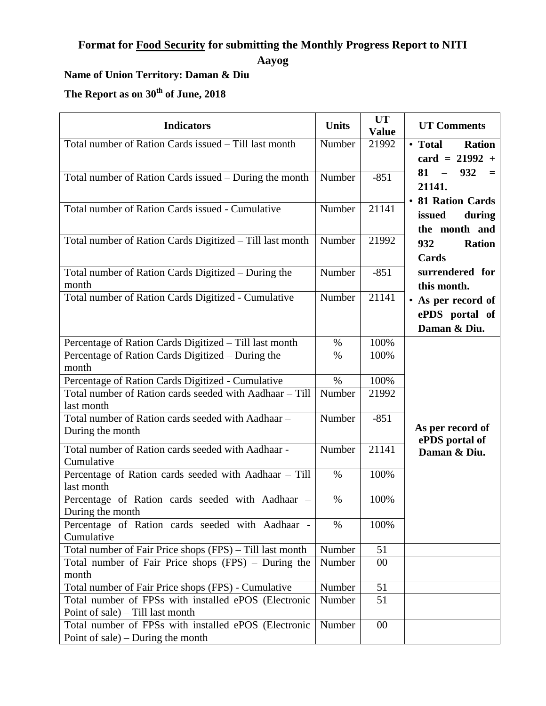## **Format for Food Security for submitting the Monthly Progress Report to NITI**

**Aayog**

## **Name of Union Territory: Daman & Diu**

**The Report as on 30th of June, 2018**

| <b>Indicators</b>                                        | <b>Units</b> | <b>UT</b><br><b>Value</b> | <b>UT Comments</b>       |
|----------------------------------------------------------|--------------|---------------------------|--------------------------|
| Total number of Ration Cards issued – Till last month    | Number       | 21992                     | <b>Ration</b><br>• Total |
|                                                          |              |                           | $card = 21992 +$         |
|                                                          | Number       | $-851$                    | 932<br>$81 -$<br>$=$     |
| Total number of Ration Cards issued - During the month   |              |                           | 21141.                   |
|                                                          |              |                           | • 81 Ration Cards        |
| Total number of Ration Cards issued - Cumulative         | Number       | 21141                     | issued<br>during         |
|                                                          |              |                           | the month and            |
| Total number of Ration Cards Digitized - Till last month | Number       | 21992                     |                          |
|                                                          |              |                           | 932<br><b>Ration</b>     |
|                                                          |              |                           | Cards                    |
| Total number of Ration Cards Digitized - During the      | Number       | $-851$                    | surrendered for          |
| month                                                    |              |                           | this month.              |
| Total number of Ration Cards Digitized - Cumulative      | Number       | 21141                     | • As per record of       |
|                                                          |              |                           | ePDS portal of           |
|                                                          |              |                           | Daman & Diu.             |
| Percentage of Ration Cards Digitized - Till last month   | $\%$         | 100%                      |                          |
| Percentage of Ration Cards Digitized – During the        | $\%$         | 100%                      |                          |
| month                                                    |              |                           |                          |
| Percentage of Ration Cards Digitized - Cumulative        | $\%$         | 100%                      |                          |
| Total number of Ration cards seeded with Aadhaar - Till  | Number       | 21992                     |                          |
| last month                                               |              |                           |                          |
| Total number of Ration cards seeded with Aadhaar -       | Number       | $-851$                    |                          |
| During the month                                         |              |                           | As per record of         |
| Total number of Ration cards seeded with Aadhaar -       | Number       | 21141                     | ePDS portal of           |
| Cumulative                                               |              |                           | Daman & Diu.             |
| Percentage of Ration cards seeded with Aadhaar - Till    | $\%$         | 100%                      |                          |
| last month                                               |              |                           |                          |
| Percentage of Ration cards seeded with Aadhaar -         | $\%$         | 100%                      |                          |
| During the month                                         |              |                           |                          |
| Percentage of Ration cards seeded with Aadhaar -         | $\%$         | 100%                      |                          |
| Cumulative                                               |              |                           |                          |
| Total number of Fair Price shops (FPS) – Till last month | Number       | 51                        |                          |
| Total number of Fair Price shops (FPS) – During the      | Number       | 00                        |                          |
| month                                                    |              |                           |                          |
| Total number of Fair Price shops (FPS) - Cumulative      | Number       | 51                        |                          |
| Total number of FPSs with installed ePOS (Electronic     | Number       | 51                        |                          |
| Point of sale) – Till last month                         |              |                           |                          |
| Total number of FPSs with installed ePOS (Electronic     | Number       | $00\,$                    |                          |
| Point of sale) – During the month                        |              |                           |                          |